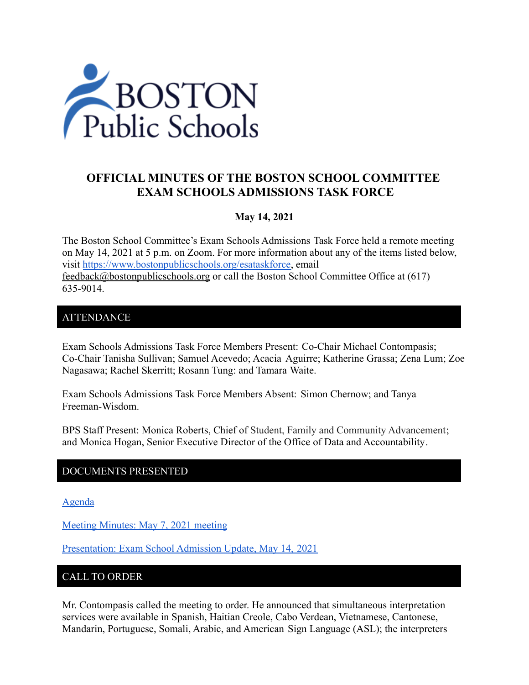

# **OFFICIAL MINUTES OF THE BOSTON SCHOOL COMMITTEE EXAM SCHOOLS ADMISSIONS TASK FORCE**

### **May 14, 2021**

The Boston School Committee's Exam Schools Admissions Task Force held a remote meeting on May 14, 2021 at 5 p.m. on Zoom. For more information about any of the items listed below, visit [https://www.bostonpublicschools.org/esataskforce,](https://www.bostonpublicschools.org/esataskforce) email [feedback@bostonpublicschools.org](mailto:feedback@bostonpublicschools.org) or call the Boston School Committee Office at (617) 635-9014.

### ATTENDANCE

Exam Schools Admissions Task Force Members Present: Co-Chair Michael Contompasis; Co-Chair Tanisha Sullivan; Samuel Acevedo; Acacia Aguirre; Katherine Grassa; Zena Lum; Zoe Nagasawa; Rachel Skerritt; Rosann Tung: and Tamara Waite.

Exam Schools Admissions Task Force Members Absent: Simon Chernow; and Tanya Freeman-Wisdom.

BPS Staff Present: Monica Roberts, Chief of Student, Family and Community Advancement; and Monica Hogan, Senior Executive Director of the Office of Data and Accountability.

# DOCUMENTS PRESENTED

[Agenda](https://www.boston.gov/public-notices/15062026)

[Meeting Minutes: May 7, 2021 meeting](https://www.bostonpublicschools.org/cms/lib/MA01906464/Centricity/Domain/2931/Minutes%205%2007%2021%20Exam%20School%20Admission%20TF%20Meeting.pdf)

[Presentation: Exam School Admission Update, May 14,](https://www.bostonpublicschools.org/cms/lib/MA01906464/Centricity/Domain/2931/AdditionalData%20Exam%20School%20Invitation%20Overview%20for%20Task%20Force%205%2014%2021.pdf) 2021

### CALL TO ORDER

Mr. Contompasis called the meeting to order. He announced that simultaneous interpretation services were available in Spanish, Haitian Creole, Cabo Verdean, Vietnamese, Cantonese, Mandarin, Portuguese, Somali, Arabic, and American Sign Language (ASL); the interpreters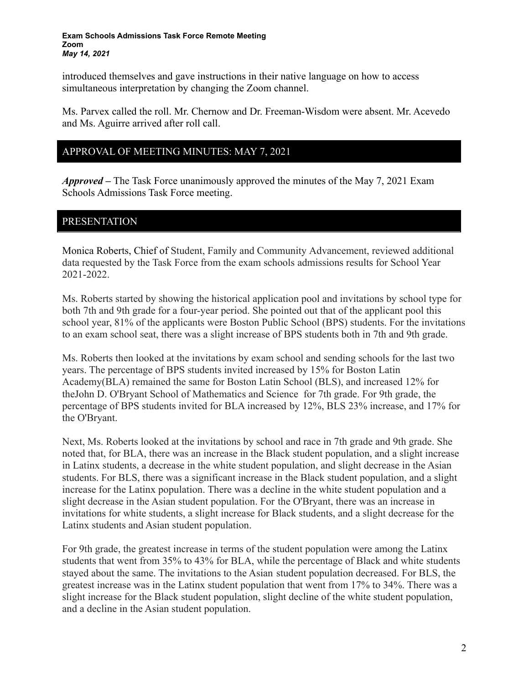introduced themselves and gave instructions in their native language on how to access simultaneous interpretation by changing the Zoom channel.

Ms. Parvex called the roll. Mr. Chernow and Dr. Freeman-Wisdom were absent. Mr. Acevedo and Ms. Aguirre arrived after roll call.

### APPROVAL OF MEETING MINUTES: MAY 7, 2021

*Approved –* The Task Force unanimously approved the minutes of the May 7, 2021 Exam Schools Admissions Task Force meeting.

# PRESENTATION

Monica Roberts, Chief of Student, Family and Community Advancement, reviewed additional data requested by the Task Force from the exam schools admissions results for School Year 2021-2022.

Ms. Roberts started by showing the historical application pool and invitations by school type for both 7th and 9th grade for a four-year period. She pointed out that of the applicant pool this school year, 81% of the applicants were Boston Public School (BPS) students. For the invitations to an exam school seat, there was a slight increase of BPS students both in 7th and 9th grade.

Ms. Roberts then looked at the invitations by exam school and sending schools for the last two years. The percentage of BPS students invited increased by 15% for Boston Latin Academy(BLA) remained the same for Boston Latin School (BLS), and increased 12% for theJohn D. O'Bryant School of Mathematics and Science for 7th grade. For 9th grade, the percentage of BPS students invited for BLA increased by 12%, BLS 23% increase, and 17% for the O'Bryant.

Next, Ms. Roberts looked at the invitations by school and race in 7th grade and 9th grade. She noted that, for BLA, there was an increase in the Black student population, and a slight increase in Latinx students, a decrease in the white student population, and slight decrease in the Asian students. For BLS, there was a significant increase in the Black student population, and a slight increase for the Latinx population. There was a decline in the white student population and a slight decrease in the Asian student population. For the O'Bryant, there was an increase in invitations for white students, a slight increase for Black students, and a slight decrease for the Latinx students and Asian student population.

For 9th grade, the greatest increase in terms of the student population were among the Latinx students that went from 35% to 43% for BLA, while the percentage of Black and white students stayed about the same. The invitations to the Asian student population decreased. For BLS, the greatest increase was in the Latinx student population that went from 17% to 34%. There was a slight increase for the Black student population, slight decline of the white student population, and a decline in the Asian student population.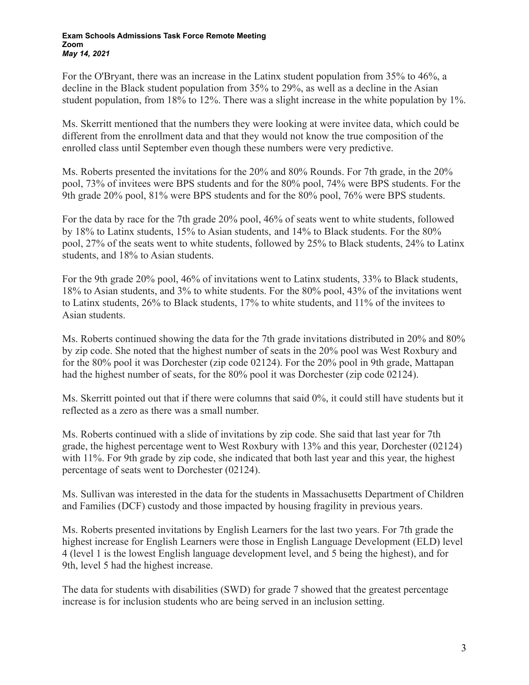For the O'Bryant, there was an increase in the Latinx student population from 35% to 46%, a decline in the Black student population from 35% to 29%, as well as a decline in the Asian student population, from 18% to 12%. There was a slight increase in the white population by 1%.

Ms. Skerritt mentioned that the numbers they were looking at were invitee data, which could be different from the enrollment data and that they would not know the true composition of the enrolled class until September even though these numbers were very predictive.

Ms. Roberts presented the invitations for the 20% and 80% Rounds. For 7th grade, in the 20% pool, 73% of invitees were BPS students and for the 80% pool, 74% were BPS students. For the 9th grade 20% pool, 81% were BPS students and for the 80% pool, 76% were BPS students.

For the data by race for the 7th grade 20% pool, 46% of seats went to white students, followed by 18% to Latinx students, 15% to Asian students, and 14% to Black students. For the 80% pool, 27% of the seats went to white students, followed by 25% to Black students, 24% to Latinx students, and 18% to Asian students.

For the 9th grade 20% pool, 46% of invitations went to Latinx students, 33% to Black students, 18% to Asian students, and 3% to white students. For the 80% pool, 43% of the invitations went to Latinx students, 26% to Black students, 17% to white students, and 11% of the invitees to Asian students.

Ms. Roberts continued showing the data for the 7th grade invitations distributed in 20% and 80% by zip code. She noted that the highest number of seats in the 20% pool was West Roxbury and for the 80% pool it was Dorchester (zip code 02124). For the 20% pool in 9th grade, Mattapan had the highest number of seats, for the 80% pool it was Dorchester (zip code 02124).

Ms. Skerritt pointed out that if there were columns that said 0%, it could still have students but it reflected as a zero as there was a small number.

Ms. Roberts continued with a slide of invitations by zip code. She said that last year for 7th grade, the highest percentage went to West Roxbury with 13% and this year, Dorchester (02124) with 11%. For 9th grade by zip code, she indicated that both last year and this year, the highest percentage of seats went to Dorchester (02124).

Ms. Sullivan was interested in the data for the students in Massachusetts Department of Children and Families (DCF) custody and those impacted by housing fragility in previous years.

Ms. Roberts presented invitations by English Learners for the last two years. For 7th grade the highest increase for English Learners were those in English Language Development (ELD) level 4 (level 1 is the lowest English language development level, and 5 being the highest), and for 9th, level 5 had the highest increase.

The data for students with disabilities (SWD) for grade 7 showed that the greatest percentage increase is for inclusion students who are being served in an inclusion setting.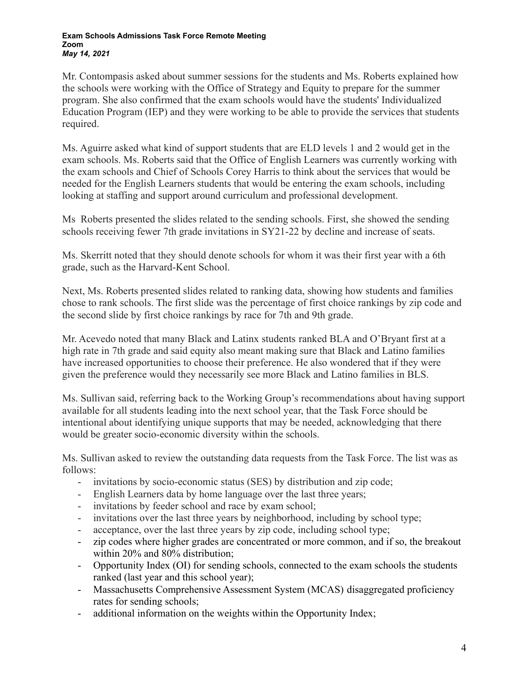Mr. Contompasis asked about summer sessions for the students and Ms. Roberts explained how the schools were working with the Office of Strategy and Equity to prepare for the summer program. She also confirmed that the exam schools would have the students' Individualized Education Program (IEP) and they were working to be able to provide the services that students required.

Ms. Aguirre asked what kind of support students that are ELD levels 1 and 2 would get in the exam schools. Ms. Roberts said that the Office of English Learners was currently working with the exam schools and Chief of Schools Corey Harris to think about the services that would be needed for the English Learners students that would be entering the exam schools, including looking at staffing and support around curriculum and professional development.

Ms Roberts presented the slides related to the sending schools. First, she showed the sending schools receiving fewer 7th grade invitations in SY21-22 by decline and increase of seats.

Ms. Skerritt noted that they should denote schools for whom it was their first year with a 6th grade, such as the Harvard-Kent School.

Next, Ms. Roberts presented slides related to ranking data, showing how students and families chose to rank schools. The first slide was the percentage of first choice rankings by zip code and the second slide by first choice rankings by race for 7th and 9th grade.

Mr. Acevedo noted that many Black and Latinx students ranked BLA and O'Bryant first at a high rate in 7th grade and said equity also meant making sure that Black and Latino families have increased opportunities to choose their preference. He also wondered that if they were given the preference would they necessarily see more Black and Latino families in BLS.

Ms. Sullivan said, referring back to the Working Group's recommendations about having support available for all students leading into the next school year, that the Task Force should be intentional about identifying unique supports that may be needed, acknowledging that there would be greater socio-economic diversity within the schools.

Ms. Sullivan asked to review the outstanding data requests from the Task Force. The list was as follows:

- invitations by socio-economic status (SES) by distribution and zip code;
- English Learners data by home language over the last three years;
- invitations by feeder school and race by exam school;
- invitations over the last three years by neighborhood, including by school type;
- acceptance, over the last three years by zip code, including school type;
- zip codes where higher grades are concentrated or more common, and if so, the breakout within 20% and 80% distribution;
- Opportunity Index (OI) for sending schools, connected to the exam schools the students ranked (last year and this school year);
- Massachusetts Comprehensive Assessment System (MCAS) disaggregated proficiency rates for sending schools;
- additional information on the weights within the Opportunity Index;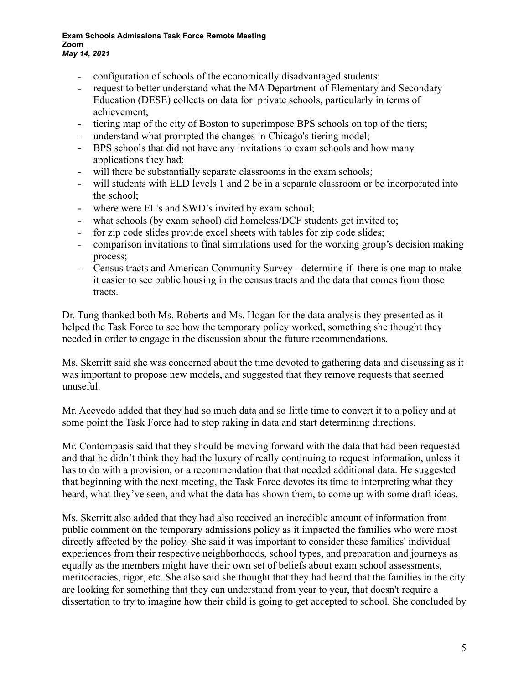- configuration of schools of the economically disadvantaged students;
- request to better understand what the MA Department of Elementary and Secondary Education (DESE) collects on data for private schools, particularly in terms of achievement;
- tiering map of the city of Boston to superimpose BPS schools on top of the tiers;
- understand what prompted the changes in Chicago's tiering model;
- BPS schools that did not have any invitations to exam schools and how many applications they had;
- will there be substantially separate classrooms in the exam schools;
- will students with ELD levels 1 and 2 be in a separate classroom or be incorporated into the school;
- where were EL's and SWD's invited by exam school;
- what schools (by exam school) did homeless/DCF students get invited to;
- for zip code slides provide excel sheets with tables for zip code slides;
- comparison invitations to final simulations used for the working group's decision making process;
- Census tracts and American Community Survey determine if there is one map to make it easier to see public housing in the census tracts and the data that comes from those tracts.

Dr. Tung thanked both Ms. Roberts and Ms. Hogan for the data analysis they presented as it helped the Task Force to see how the temporary policy worked, something she thought they needed in order to engage in the discussion about the future recommendations.

Ms. Skerritt said she was concerned about the time devoted to gathering data and discussing as it was important to propose new models, and suggested that they remove requests that seemed unuseful.

Mr. Acevedo added that they had so much data and so little time to convert it to a policy and at some point the Task Force had to stop raking in data and start determining directions.

Mr. Contompasis said that they should be moving forward with the data that had been requested and that he didn't think they had the luxury of really continuing to request information, unless it has to do with a provision, or a recommendation that that needed additional data. He suggested that beginning with the next meeting, the Task Force devotes its time to interpreting what they heard, what they've seen, and what the data has shown them, to come up with some draft ideas.

Ms. Skerritt also added that they had also received an incredible amount of information from public comment on the temporary admissions policy as it impacted the families who were most directly affected by the policy. She said it was important to consider these families' individual experiences from their respective neighborhoods, school types, and preparation and journeys as equally as the members might have their own set of beliefs about exam school assessments, meritocracies, rigor, etc. She also said she thought that they had heard that the families in the city are looking for something that they can understand from year to year, that doesn't require a dissertation to try to imagine how their child is going to get accepted to school. She concluded by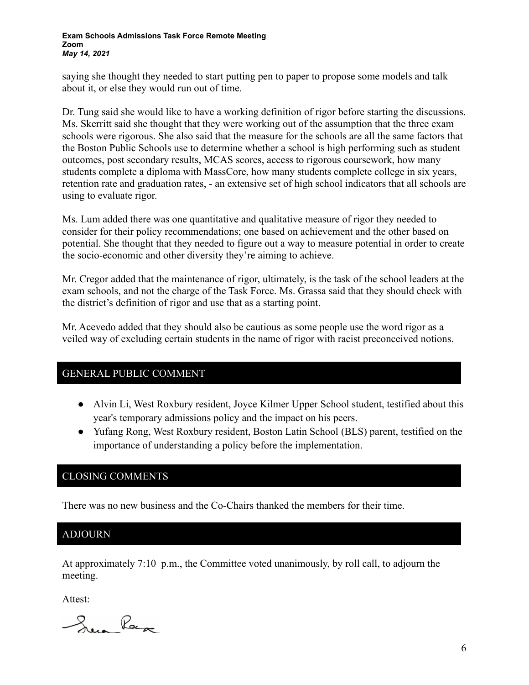saying she thought they needed to start putting pen to paper to propose some models and talk about it, or else they would run out of time.

Dr. Tung said she would like to have a working definition of rigor before starting the discussions. Ms. Skerritt said she thought that they were working out of the assumption that the three exam schools were rigorous. She also said that the measure for the schools are all the same factors that the Boston Public Schools use to determine whether a school is high performing such as student outcomes, post secondary results, MCAS scores, access to rigorous coursework, how many students complete a diploma with MassCore, how many students complete college in six years, retention rate and graduation rates, - an extensive set of high school indicators that all schools are using to evaluate rigor.

Ms. Lum added there was one quantitative and qualitative measure of rigor they needed to consider for their policy recommendations; one based on achievement and the other based on potential. She thought that they needed to figure out a way to measure potential in order to create the socio-economic and other diversity they're aiming to achieve.

Mr. Cregor added that the maintenance of rigor, ultimately, is the task of the school leaders at the exam schools, and not the charge of the Task Force. Ms. Grassa said that they should check with the district's definition of rigor and use that as a starting point.

Mr. Acevedo added that they should also be cautious as some people use the word rigor as a veiled way of excluding certain students in the name of rigor with racist preconceived notions.

# GENERAL PUBLIC COMMENT

- Alvin Li, West Roxbury resident, Joyce Kilmer Upper School student, testified about this year's temporary admissions policy and the impact on his peers.
- Yufang Rong, West Roxbury resident, Boston Latin School (BLS) parent, testified on the importance of understanding a policy before the implementation.

# CLOSING COMMENTS

There was no new business and the Co-Chairs thanked the members for their time.

# ADJOURN

NE

At approximately 7:10 p.m., the Committee voted unanimously, by roll call, to adjourn the meeting.

Attest:

Que Raca